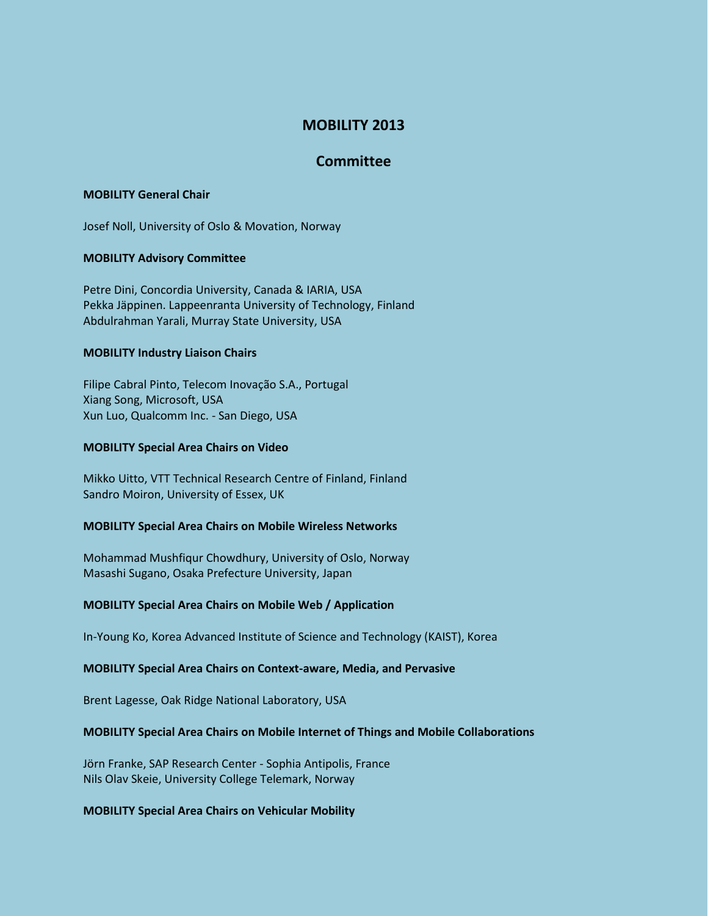# **MOBILITY 2013**

## **Committee**

## **MOBILITY General Chair**

Josef Noll, University of Oslo & Movation, Norway

## **MOBILITY Advisory Committee**

Petre Dini, Concordia University, Canada & IARIA, USA Pekka Jäppinen. Lappeenranta University of Technology, Finland Abdulrahman Yarali, Murray State University, USA

## **MOBILITY Industry Liaison Chairs**

Filipe Cabral Pinto, Telecom Inovação S.A., Portugal Xiang Song, Microsoft, USA Xun Luo, Qualcomm Inc. - San Diego, USA

## **MOBILITY Special Area Chairs on Video**

Mikko Uitto, VTT Technical Research Centre of Finland, Finland Sandro Moiron, University of Essex, UK

## **MOBILITY Special Area Chairs on Mobile Wireless Networks**

Mohammad Mushfiqur Chowdhury, University of Oslo, Norway Masashi Sugano, Osaka Prefecture University, Japan

## **MOBILITY Special Area Chairs on Mobile Web / Application**

In-Young Ko, Korea Advanced Institute of Science and Technology (KAIST), Korea

## **MOBILITY Special Area Chairs on Context-aware, Media, and Pervasive**

Brent Lagesse, Oak Ridge National Laboratory, USA

## **MOBILITY Special Area Chairs on Mobile Internet of Things and Mobile Collaborations**

Jörn Franke, SAP Research Center - Sophia Antipolis, France Nils Olav Skeie, University College Telemark, Norway

## **MOBILITY Special Area Chairs on Vehicular Mobility**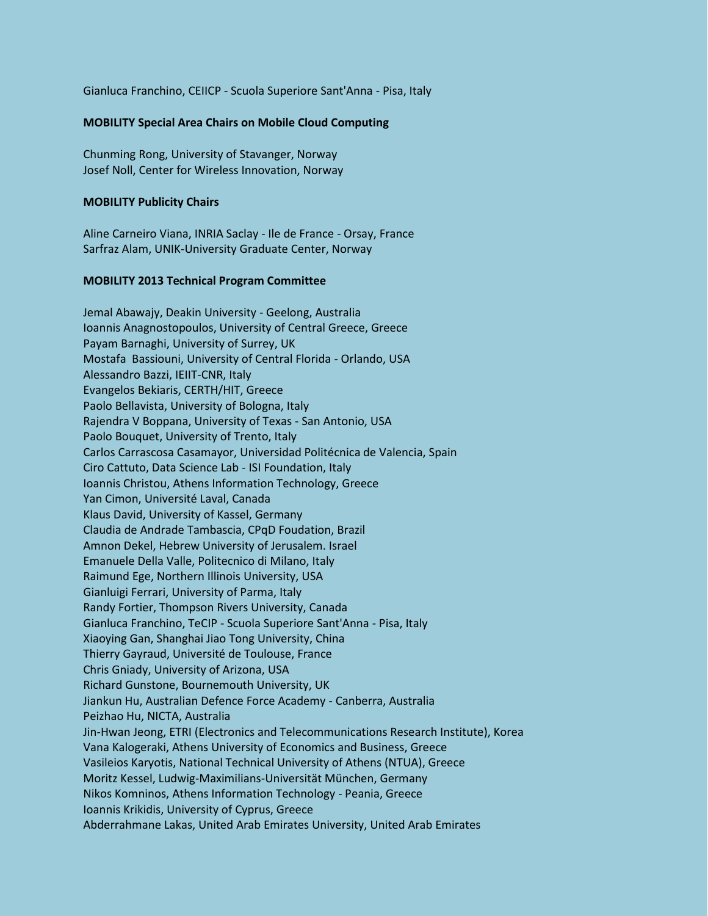Gianluca Franchino, CEIICP - Scuola Superiore Sant'Anna - Pisa, Italy

## **MOBILITY Special Area Chairs on Mobile Cloud Computing**

Chunming Rong, University of Stavanger, Norway Josef Noll, Center for Wireless Innovation, Norway

## **MOBILITY Publicity Chairs**

Aline Carneiro Viana, INRIA Saclay - Ile de France - Orsay, France Sarfraz Alam, UNIK-University Graduate Center, Norway

## **MOBILITY 2013 Technical Program Committee**

Jemal Abawajy, Deakin University - Geelong, Australia Ioannis Anagnostopoulos, University of Central Greece, Greece Payam Barnaghi, University of Surrey, UK Mostafa Bassiouni, University of Central Florida - Orlando, USA Alessandro Bazzi, IEIIT-CNR, Italy Evangelos Bekiaris, CERTH/HIT, Greece Paolo Bellavista, University of Bologna, Italy Rajendra V Boppana, University of Texas - San Antonio, USA Paolo Bouquet, University of Trento, Italy Carlos Carrascosa Casamayor, Universidad Politécnica de Valencia, Spain Ciro Cattuto, Data Science Lab - ISI Foundation, Italy Ioannis Christou, Athens Information Technology, Greece Yan Cimon, Université Laval, Canada Klaus David, University of Kassel, Germany Claudia de Andrade Tambascia, CPqD Foudation, Brazil Amnon Dekel, Hebrew University of Jerusalem. Israel Emanuele Della Valle, Politecnico di Milano, Italy Raimund Ege, Northern Illinois University, USA Gianluigi Ferrari, University of Parma, Italy Randy Fortier, Thompson Rivers University, Canada Gianluca Franchino, TeCIP - Scuola Superiore Sant'Anna - Pisa, Italy Xiaoying Gan, Shanghai Jiao Tong University, China Thierry Gayraud, Université de Toulouse, France Chris Gniady, University of Arizona, USA Richard Gunstone, Bournemouth University, UK Jiankun Hu, Australian Defence Force Academy - Canberra, Australia Peizhao Hu, NICTA, Australia Jin-Hwan Jeong, ETRI (Electronics and Telecommunications Research Institute), Korea Vana Kalogeraki, Athens University of Economics and Business, Greece Vasileios Karyotis, National Technical University of Athens (NTUA), Greece Moritz Kessel, Ludwig-Maximilians-Universität München, Germany Nikos Komninos, Athens Information Technology - Peania, Greece Ioannis Krikidis, University of Cyprus, Greece Abderrahmane Lakas, United Arab Emirates University, United Arab Emirates